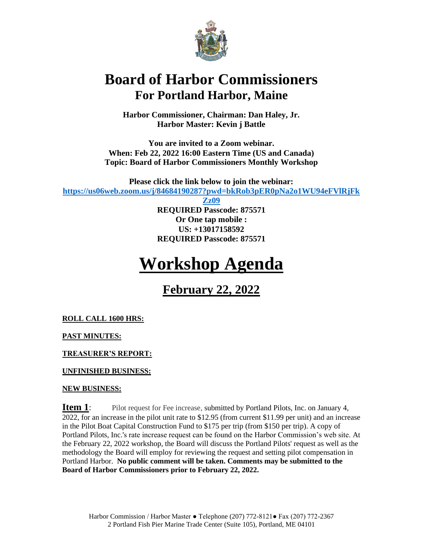

## **Board of Harbor Commissioners For Portland Harbor, Maine**

**Harbor Commissioner, Chairman: Dan Haley, Jr. Harbor Master: Kevin j Battle**

**You are invited to a Zoom webinar. When: Feb 22, 2022 16:00 Eastern Time (US and Canada) Topic: Board of Harbor Commissioners Monthly Workshop**

**Please click the link below to join the webinar: [https://us06web.zoom.us/j/84684190287?pwd=bkRob3pER0pNa2o1WU94eFVlRjFk](https://us06web.zoom.us/j/84684190287?pwd=bkRob3pER0pNa2o1WU94eFVlRjFkZz09)**

> **[Zz09](https://us06web.zoom.us/j/84684190287?pwd=bkRob3pER0pNa2o1WU94eFVlRjFkZz09) REQUIRED Passcode: 875571 Or One tap mobile : US: +13017158592 REQUIRED Passcode: 875571**

# **Workshop Agenda**

**February 22, 2022**

**ROLL CALL 1600 HRS:**

**PAST MINUTES:**

**TREASURER'S REPORT:**

**UNFINISHED BUSINESS:**

#### **NEW BUSINESS:**

**Item 1**: Pilot request for Fee increase, submitted by Portland Pilots, Inc. on January 4, 2022, for an increase in the pilot unit rate to \$12.95 (from current \$11.99 per unit) and an increase in the Pilot Boat Capital Construction Fund to \$175 per trip (from \$150 per trip). A copy of Portland Pilots, Inc.'s rate increase request can be found on the Harbor Commission's web site. At the February 22, 2022 workshop, the Board will discuss the Portland Pilots' request as well as the methodology the Board will employ for reviewing the request and setting pilot compensation in Portland Harbor. **No public comment will be taken. Comments may be submitted to the Board of Harbor Commissioners prior to February 22, 2022.**